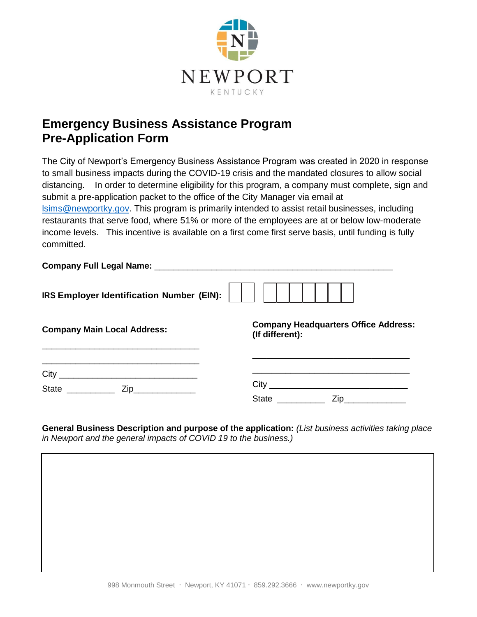

## **Emergency Business Assistance Program Pre-Application Form**

The City of Newport's Emergency Business Assistance Program was created in 2020 in response to small business impacts during the COVID-19 crisis and the mandated closures to allow social distancing. In order to determine eligibility for this program, a company must complete, sign and submit a pre-application packet to the office of the City Manager via email at [lsims@newportky.gov.](mailto:lsims@newportky.gov) This program is primarily intended to assist retail businesses, including restaurants that serve food, where 51% or more of the employees are at or below low-moderate income levels. This incentive is available on a first come first serve basis, until funding is fully committed.

| <b>Company Full Legal Name:</b>           |  |  |  |  |  |  |
|-------------------------------------------|--|--|--|--|--|--|
| IRS Employer Identification Number (EIN): |  |  |  |  |  |  |

| <b>Company Main Local Address:</b> | <b>Pollipally Headquarters Office Address</b><br>(If different): |
|------------------------------------|------------------------------------------------------------------|
|                                    |                                                                  |
| City                               |                                                                  |

State \_\_\_\_\_\_\_\_\_\_ Zip\_\_\_\_\_\_\_\_\_\_\_\_\_

**Company Headquarters Office Address:**

| City         |     |  |
|--------------|-----|--|
| <b>State</b> | Zip |  |

**General Business Description and purpose of the application:** *(List business activities taking place in Newport and the general impacts of COVID 19 to the business.)*